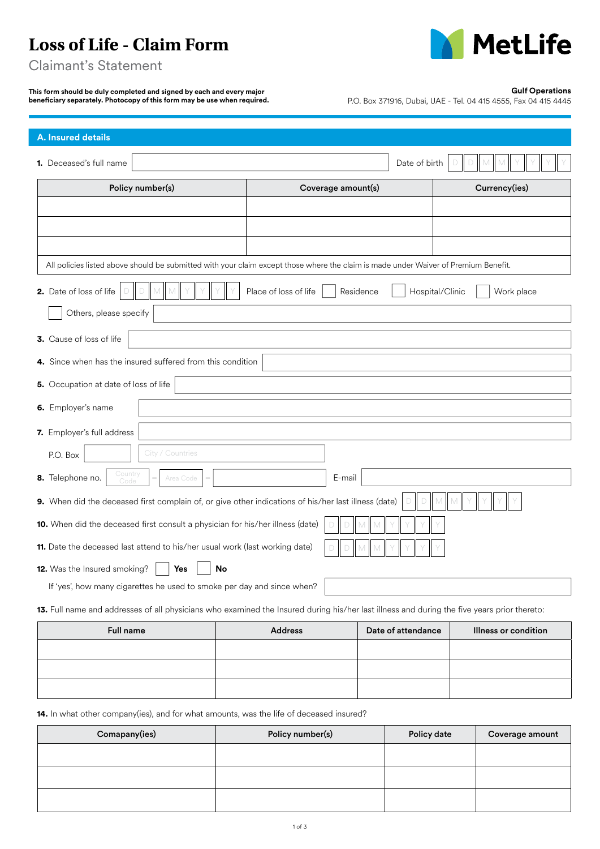# **Loss of Life - Claim Form**



Claimant's Statement

**This form should be duly completed and signed by each and every major beneficiary separately. Photocopy of this form may be use when required.** 

## **Gulf Operations**

P.O. Box 371916, Dubai, UAE - Tel. 04 415 4555, Fax 04 415 4445

| <b>A. Insured details</b>                                                                                                                   |                       |                              |                      |  |  |
|---------------------------------------------------------------------------------------------------------------------------------------------|-----------------------|------------------------------|----------------------|--|--|
| 1. Deceased's full name                                                                                                                     |                       | Date of birth                | M                    |  |  |
| Policy number(s)                                                                                                                            | Coverage amount(s)    |                              | Currency(ies)        |  |  |
|                                                                                                                                             |                       |                              |                      |  |  |
|                                                                                                                                             |                       |                              |                      |  |  |
|                                                                                                                                             |                       |                              |                      |  |  |
| All policies listed above should be submitted with your claim except those where the claim is made under Waiver of Premium Benefit.         |                       |                              |                      |  |  |
| 2. Date of loss of life<br>D<br>M<br>D                                                                                                      | Place of loss of life | Residence<br>Hospital/Clinic | Work place           |  |  |
| Others, please specify                                                                                                                      |                       |                              |                      |  |  |
| 3. Cause of loss of life                                                                                                                    |                       |                              |                      |  |  |
| 4. Since when has the insured suffered from this condition                                                                                  |                       |                              |                      |  |  |
| 5. Occupation at date of loss of life                                                                                                       |                       |                              |                      |  |  |
| 6. Employer's name                                                                                                                          |                       |                              |                      |  |  |
| 7. Employer's full address                                                                                                                  |                       |                              |                      |  |  |
| City / Countries<br>P.O. Box                                                                                                                |                       |                              |                      |  |  |
| Country<br>8. Telephone no.<br>E-mail<br>Area Code<br>Code                                                                                  |                       |                              |                      |  |  |
| 9. When did the deceased first complain of, or give other indications of his/her last illness (date)<br>D<br>$\mathsf{M}$<br>M<br>D         |                       |                              |                      |  |  |
| 10. When did the deceased first consult a physician for his/her illness (date)<br>D<br>D<br>M                                               |                       |                              |                      |  |  |
| 11. Date the deceased last attend to his/her usual work (last working date)                                                                 |                       |                              |                      |  |  |
| 12. Was the Insured smoking?<br><b>No</b><br>Yes                                                                                            |                       |                              |                      |  |  |
| If 'yes', how many cigarettes he used to smoke per day and since when?                                                                      |                       |                              |                      |  |  |
| 13. Full name and addresses of all physicians who examined the Insured during his/her last illness and during the five years prior thereto: |                       |                              |                      |  |  |
| <b>Full name</b>                                                                                                                            | <b>Address</b>        | Date of attendance           | Illness or condition |  |  |
|                                                                                                                                             |                       |                              |                      |  |  |

**14.** In what other company(ies), and for what amounts, was the life of deceased insured?

| Comapany(ies) | Policy number(s) | Policy date | Coverage amount |
|---------------|------------------|-------------|-----------------|
|               |                  |             |                 |
|               |                  |             |                 |
|               |                  |             |                 |
|               |                  |             |                 |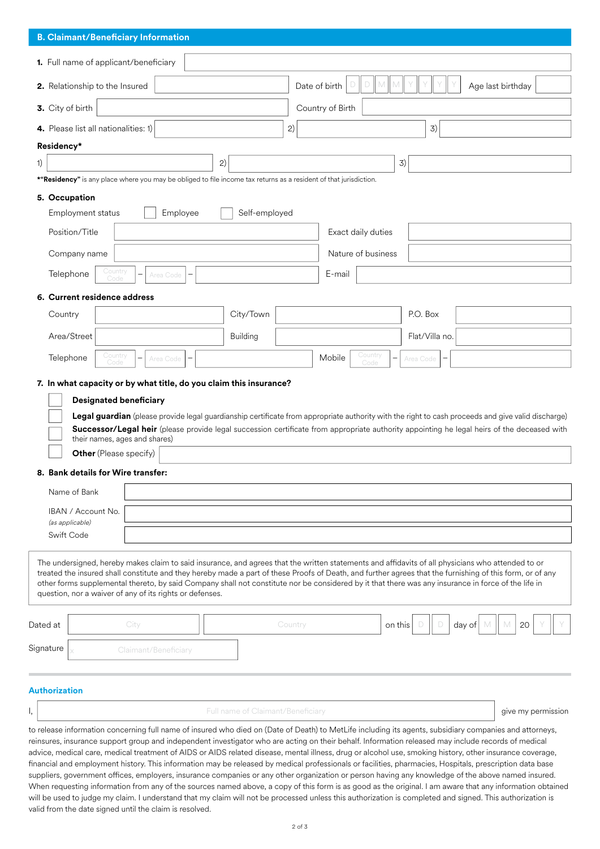| <b>B. Claimant/Beneficiary Information</b>                                                                                                                                                                                                                                                                                                                                                                                                                                                                                                                                                                                                                                                                                                                                                                                                                                                                                                                |                                              |                                                       |                |                    |  |
|-----------------------------------------------------------------------------------------------------------------------------------------------------------------------------------------------------------------------------------------------------------------------------------------------------------------------------------------------------------------------------------------------------------------------------------------------------------------------------------------------------------------------------------------------------------------------------------------------------------------------------------------------------------------------------------------------------------------------------------------------------------------------------------------------------------------------------------------------------------------------------------------------------------------------------------------------------------|----------------------------------------------|-------------------------------------------------------|----------------|--------------------|--|
| 1. Full name of applicant/beneficiary                                                                                                                                                                                                                                                                                                                                                                                                                                                                                                                                                                                                                                                                                                                                                                                                                                                                                                                     |                                              |                                                       |                |                    |  |
| 2. Relationship to the Insured                                                                                                                                                                                                                                                                                                                                                                                                                                                                                                                                                                                                                                                                                                                                                                                                                                                                                                                            | D<br>Date of birth<br>M<br>Age last birthday |                                                       |                |                    |  |
| 3. City of birth                                                                                                                                                                                                                                                                                                                                                                                                                                                                                                                                                                                                                                                                                                                                                                                                                                                                                                                                          | Country of Birth                             |                                                       |                |                    |  |
| 4. Please list all nationalities: 1)                                                                                                                                                                                                                                                                                                                                                                                                                                                                                                                                                                                                                                                                                                                                                                                                                                                                                                                      | 2)                                           |                                                       | 3)             |                    |  |
| Residency*                                                                                                                                                                                                                                                                                                                                                                                                                                                                                                                                                                                                                                                                                                                                                                                                                                                                                                                                                |                                              |                                                       |                |                    |  |
| 2)<br>1)                                                                                                                                                                                                                                                                                                                                                                                                                                                                                                                                                                                                                                                                                                                                                                                                                                                                                                                                                  |                                              |                                                       | 3)             |                    |  |
| *"Residency" is any place where you may be obliged to file income tax returns as a resident of that jurisdiction.                                                                                                                                                                                                                                                                                                                                                                                                                                                                                                                                                                                                                                                                                                                                                                                                                                         |                                              |                                                       |                |                    |  |
| 5. Occupation                                                                                                                                                                                                                                                                                                                                                                                                                                                                                                                                                                                                                                                                                                                                                                                                                                                                                                                                             |                                              |                                                       |                |                    |  |
| Employee<br><b>Employment status</b>                                                                                                                                                                                                                                                                                                                                                                                                                                                                                                                                                                                                                                                                                                                                                                                                                                                                                                                      | Self-employed                                |                                                       |                |                    |  |
| Position/Title                                                                                                                                                                                                                                                                                                                                                                                                                                                                                                                                                                                                                                                                                                                                                                                                                                                                                                                                            |                                              | Exact daily duties                                    |                |                    |  |
| Company name                                                                                                                                                                                                                                                                                                                                                                                                                                                                                                                                                                                                                                                                                                                                                                                                                                                                                                                                              |                                              | Nature of business                                    |                |                    |  |
| Country<br>Telephone<br>—<br>Area Code<br>Code                                                                                                                                                                                                                                                                                                                                                                                                                                                                                                                                                                                                                                                                                                                                                                                                                                                                                                            |                                              | E-mail                                                |                |                    |  |
| 6. Current residence address                                                                                                                                                                                                                                                                                                                                                                                                                                                                                                                                                                                                                                                                                                                                                                                                                                                                                                                              |                                              |                                                       |                |                    |  |
| Country                                                                                                                                                                                                                                                                                                                                                                                                                                                                                                                                                                                                                                                                                                                                                                                                                                                                                                                                                   | City/Town                                    |                                                       | P.O. Box       |                    |  |
| Area/Street                                                                                                                                                                                                                                                                                                                                                                                                                                                                                                                                                                                                                                                                                                                                                                                                                                                                                                                                               | <b>Building</b>                              |                                                       | Flat/Villa no. |                    |  |
| Country<br>Telephone<br>Area Code<br>Code                                                                                                                                                                                                                                                                                                                                                                                                                                                                                                                                                                                                                                                                                                                                                                                                                                                                                                                 |                                              | Country<br>Mobile<br>$\overline{\phantom{0}}$<br>Code | Area Code      |                    |  |
| 7. In what capacity or by what title, do you claim this insurance?<br><b>Designated beneficiary</b><br>Legal guardian (please provide legal guardianship certificate from appropriate authority with the right to cash proceeds and give valid discharge)<br>Successor/Legal heir (please provide legal succession certificate from appropriate authority appointing he legal heirs of the deceased with<br>their names, ages and shares)<br><b>Other</b> (Please specify)<br>8. Bank details for Wire transfer:<br>Name of Bank<br>IBAN / Account No.<br>(as applicable)<br>Swift Code                                                                                                                                                                                                                                                                                                                                                                   |                                              |                                                       |                |                    |  |
| The undersigned, hereby makes claim to said insurance, and agrees that the written statements and affidavits of all physicians who attended to or<br>treated the insured shall constitute and they hereby made a part of these Proofs of Death, and further agrees that the furnishing of this form, or of any<br>other forms supplemental thereto, by said Company shall not constitute nor be considered by it that there was any insurance in force of the life in<br>question, nor a waiver of any of its rights or defenses.                                                                                                                                                                                                                                                                                                                                                                                                                         |                                              |                                                       |                |                    |  |
| Dated at<br>City                                                                                                                                                                                                                                                                                                                                                                                                                                                                                                                                                                                                                                                                                                                                                                                                                                                                                                                                          | Country                                      | on this                                               | day of         | 20                 |  |
| Signature<br>Claimant/Beneficiary                                                                                                                                                                                                                                                                                                                                                                                                                                                                                                                                                                                                                                                                                                                                                                                                                                                                                                                         |                                              |                                                       |                |                    |  |
| <b>Authorization</b>                                                                                                                                                                                                                                                                                                                                                                                                                                                                                                                                                                                                                                                                                                                                                                                                                                                                                                                                      |                                              |                                                       |                |                    |  |
| ١,                                                                                                                                                                                                                                                                                                                                                                                                                                                                                                                                                                                                                                                                                                                                                                                                                                                                                                                                                        | Full name of Claimant/Beneficiary            |                                                       |                | give my permission |  |
| to release information concerning full name of insured who died on (Date of Death) to MetLife including its agents, subsidiary companies and attorneys,<br>reinsures, insurance support group and independent investigator who are acting on their behalf. Information released may include records of medical<br>advice, medical care, medical treatment of AIDS or AIDS related disease, mental illness, drug or alcohol use, smoking history, other insurance coverage,<br>financial and employment history. This information may be released by medical professionals or facilities, pharmacies, Hospitals, prescription data base<br>suppliers, government offices, employers, insurance companies or any other organization or person having any knowledge of the above named insured.<br>When requesting information from any of the sources named above, a copy of this form is as good as the original. I am aware that any information obtained |                                              |                                                       |                |                    |  |

will be used to judge my claim. I understand that my claim will not be processed unless this authorization is completed and signed. This authorization is

valid from the date signed until the claim is resolved.